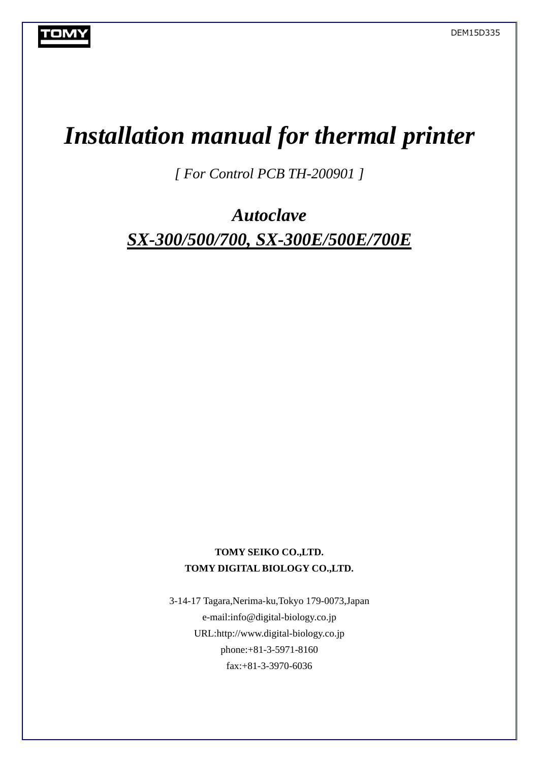# *Installation manual for thermal printer*

*[ For Control PCB TH-200901 ]* 

*Autoclave SX-300/500/700, SX-300E/500E/700E* 

## **TOMY SEIKO CO.,LTD. TOMY DIGITAL BIOLOGY CO.,LTD.**

3-14-17 Tagara,Nerima-ku,Tokyo 179-0073,Japan e-mail:info@digital-biology.co.jp URL:http://www.digital-biology.co.jp phone:+81-3-5971-8160 fax:+81-3-3970-6036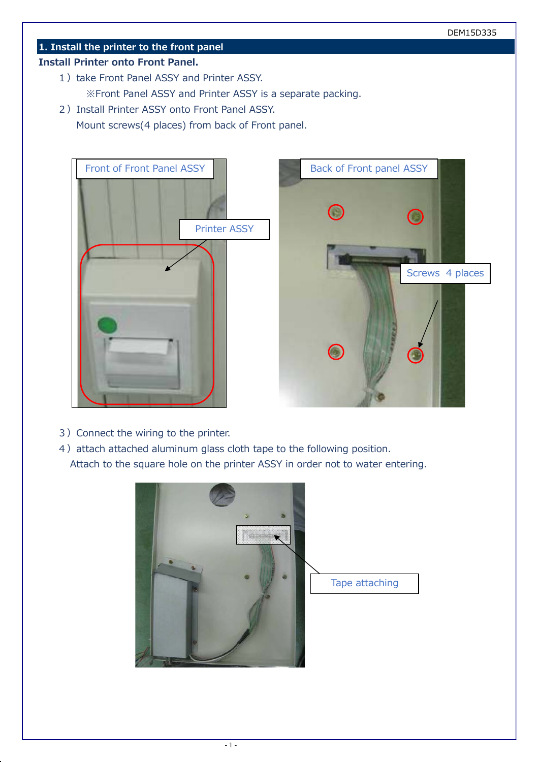## **1. Install the printer to the front panel**

#### **Install Printer onto Front Panel.**

- 1) take Front Panel ASSY and Printer ASSY. ※Front Panel ASSY and Printer ASSY is a separate packing.
- 2) Install Printer ASSY onto Front Panel ASSY.

Mount screws(4 places) from back of Front panel.





- 3) Connect the wiring to the printer.
- 4) attach attached aluminum glass cloth tape to the following position. Attach to the square hole on the printer ASSY in order not to water entering.



Tape attaching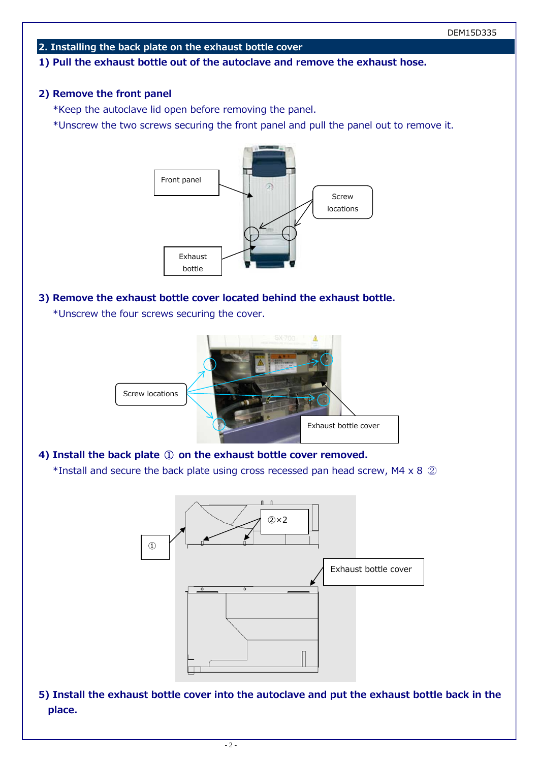#### **2. Installing the back plate on the exhaust bottle cover**

#### **1) Pull the exhaust bottle out of the autoclave and remove the exhaust hose.**

## **2) Remove the front panel**

\*Keep the autoclave lid open before removing the panel.

\*Unscrew the two screws securing the front panel and pull the panel out to remove it.



#### **3) Remove the exhaust bottle cover located behind the exhaust bottle.**

\*Unscrew the four screws securing the cover.



**4) Install the back plate** ① **on the exhaust bottle cover removed.**  \*Install and secure the back plate using cross recessed pan head screw, M4 x 8 ②



**5) Install the exhaust bottle cover into the autoclave and put the exhaust bottle back in the place.**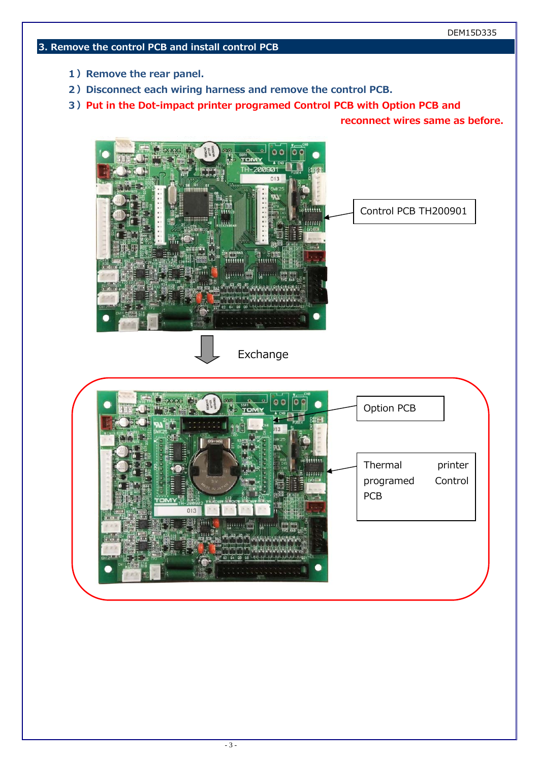## **3. Remove the control PCB and install control PCB**

- **1) Remove the rear panel.**
- **2) Disconnect each wiring harness and remove the control PCB.**
- **3) Put in the Dot-impact printer programed Control PCB with Option PCB and**

**reconnect wires same as before.** 

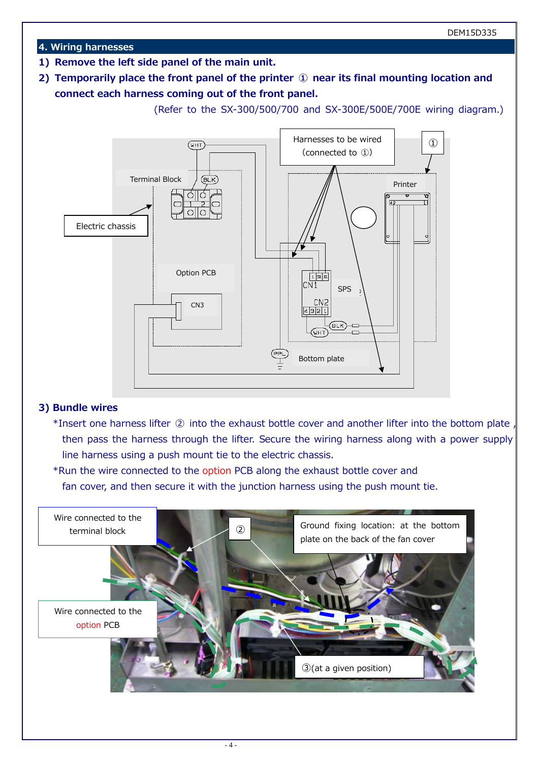#### **4. Wiring harnesses**

- **1) Remove the left side panel of the main unit.**
- **2) Temporarily place the front panel of the printer ① near its final mounting location and connect each harness coming out of the front panel.**

(Refer to the SX-300/500/700 and SX-300E/500E/700E wiring diagram.)



#### **3) Bundle wires**

- \*Insert one harness lifter ② into the exhaust bottle cover and another lifter into the bottom plate , then pass the harness through the lifter. Secure the wiring harness along with a power supply line harness using a push mount tie to the electric chassis.
- \*Run the wire connected to the option PCB along the exhaust bottle cover and fan cover, and then secure it with the junction harness using the push mount tie.

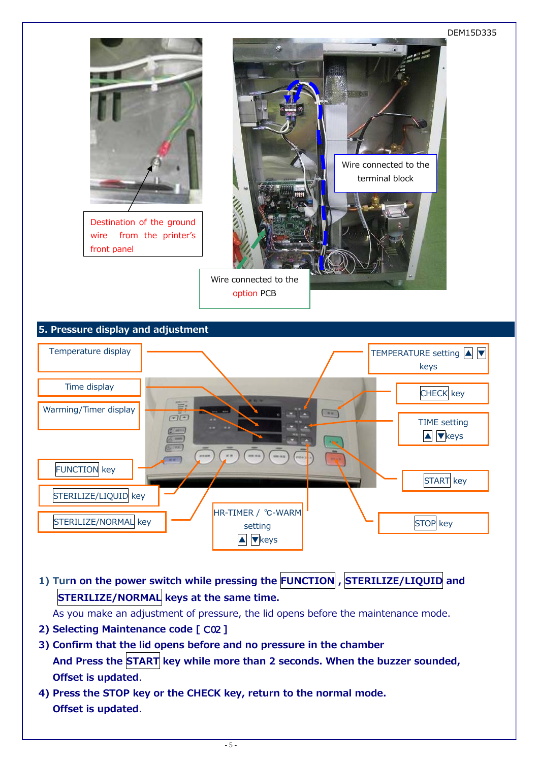

**1) Turn on the power switch while pressing the FUNCTION , STERILIZE/LIQUID and STERILIZE/NORMAL keys at the same time.** 

As you make an adjustment of pressure, the lid opens before the maintenance mode.

- **2) Selecting Maintenance code [** *C 02* **]**
- **3) Confirm that the lid opens before and no pressure in the chamber**  And Press the START key while more than 2 seconds. When the buzzer sounded, **Offset is updated**.
- **4) Press the STOP key or the CHECK key, return to the normal mode. Offset is updated**.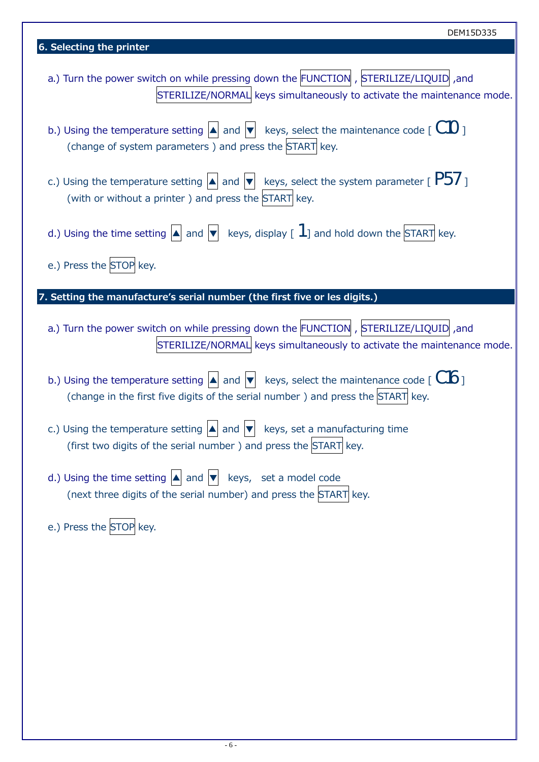| DEM15D335                                                                                                                                                                                                          |  |
|--------------------------------------------------------------------------------------------------------------------------------------------------------------------------------------------------------------------|--|
| 6. Selecting the printer                                                                                                                                                                                           |  |
| a.) Turn the power switch on while pressing down the FUNCTION , STERILIZE/LIQUID ,and<br>STERILIZE/NORMAL keys simultaneously to activate the maintenance mode.                                                    |  |
| b.) Using the temperature setting $  \blacktriangle  $ and $  \blacktriangledown  $ keys, select the maintenance code [ $\mathcal{C}\mathcal{U}$ ]<br>(change of system parameters) and press the START key.       |  |
| c.) Using the temperature setting $  \blacktriangle  $ and $  \blacktriangledown  $ keys, select the system parameter [ $P5/$ ]<br>(with or without a printer) and press the START key.                            |  |
| d.) Using the time setting $ \triangle $ and $ \triangledown $ keys, display [ $1$ ] and hold down the START key.                                                                                                  |  |
| e.) Press the STOP key.                                                                                                                                                                                            |  |
| 7. Setting the manufacture's serial number (the first five or les digits.)                                                                                                                                         |  |
| a.) Turn the power switch on while pressing down the FUNCTION , STERILIZE/LIQUID ,and<br>STERILIZE/NORMAL keys simultaneously to activate the maintenance mode.                                                    |  |
| b.) Using the temperature setting $  \blacktriangle  $ and $  \blacktriangledown  $ keys, select the maintenance code [ $C16$ ]<br>(change in the first five digits of the serial number) and press the START key. |  |
| c.) Using the temperature setting $ \blacktriangle $ and $ \blacktriangledown $ keys, set a manufacturing time<br>(first two digits of the serial number) and press the START key.                                 |  |
| d.) Using the time setting $\left  \blacktriangle \right $ and $\left  \blacktriangledown \right $ keys, set a model code<br>(next three digits of the serial number) and press the START key.                     |  |
| e.) Press the STOP key.                                                                                                                                                                                            |  |
|                                                                                                                                                                                                                    |  |
|                                                                                                                                                                                                                    |  |
|                                                                                                                                                                                                                    |  |
|                                                                                                                                                                                                                    |  |
|                                                                                                                                                                                                                    |  |
|                                                                                                                                                                                                                    |  |
|                                                                                                                                                                                                                    |  |
|                                                                                                                                                                                                                    |  |

 $\frac{1}{2}$  demonstrates the set of  $\frac{1}{2}$ 

┓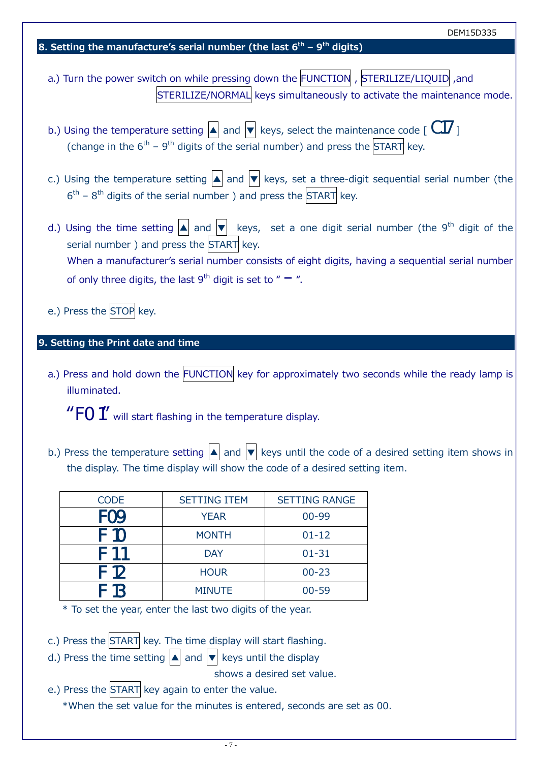| DEM15D335                                                                                                                                                                                                                                                                                                                                                     |
|---------------------------------------------------------------------------------------------------------------------------------------------------------------------------------------------------------------------------------------------------------------------------------------------------------------------------------------------------------------|
| 8. Setting the manufacture's serial number (the last $6th$ – 9 <sup>th</sup> digits)                                                                                                                                                                                                                                                                          |
| a.) Turn the power switch on while pressing down the FUNCTION , STERILIZE/LIQUID ,and<br>STERILIZE/NORMAL keys simultaneously to activate the maintenance mode.                                                                                                                                                                                               |
| b.) Using the temperature setting $  \blacktriangle  $ and $  \blacktriangledown  $ keys, select the maintenance code [ $\mathcal{C}17$ ]<br>(change in the $6^{th}$ – $9^{th}$ digits of the serial number) and press the START key.                                                                                                                         |
| c.) Using the temperature setting $\blacktriangle$ and $\blacktriangledown$ keys, set a three-digit sequential serial number (the<br>$6th$ – 8 <sup>th</sup> digits of the serial number) and press the START key.                                                                                                                                            |
| d.) Using the time setting $ \blacktriangle $ and $ \blacktriangledown $ keys, set a one digit serial number (the 9 <sup>th</sup> digit of the<br>serial number) and press the START key.<br>When a manufacturer's serial number consists of eight digits, having a sequential serial number<br>of only three digits, the last $9^{th}$ digit is set to " –". |
| e.) Press the STOP key.                                                                                                                                                                                                                                                                                                                                       |
| 9. Setting the Print date and time                                                                                                                                                                                                                                                                                                                            |
| a.) Press and hold down the FUNCTION key for approximately two seconds while the ready lamp is<br>illuminated.                                                                                                                                                                                                                                                |
| " $FO$ $\prime$ " will start flashing in the temperature display.                                                                                                                                                                                                                                                                                             |
| b.) Press the temperature setting $ \blacktriangle $ and $ \blacktriangledown $ keys until the code of a desired setting item shows in<br>the display. The time display will show the code of a desired setting item.                                                                                                                                         |

| <b>CODE</b> | <b>SETTING ITEM</b> | <b>SETTING RANGE</b> |
|-------------|---------------------|----------------------|
| <i>F09</i>  | <b>YEAR</b>         | 00-99                |
| F 10        | <b>MONTH</b>        | $01 - 12$            |
| F 1 1       | <b>DAY</b>          | $01 - 31$            |
| F 12        | <b>HOUR</b>         | $00 - 23$            |
| F 13        | <b>MINUTE</b>       | $00 - 59$            |

\* To set the year, enter the last two digits of the year.

c.) Press the START key. The time display will start flashing.

d.) Press the time setting  $\boxed{\blacktriangle}$  and  $\boxed{\blacktriangledown}$  keys until the display

shows a desired set value.

e.) Press the START key again to enter the value.

\*When the set value for the minutes is entered, seconds are set as 00.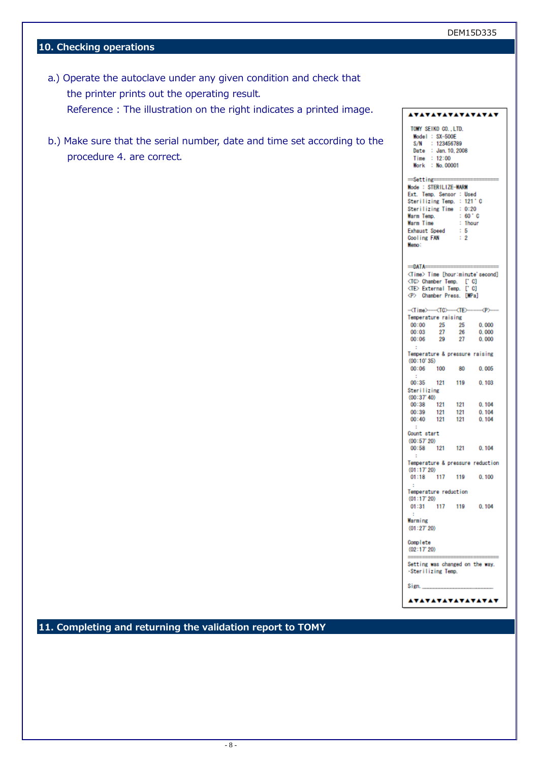## **10. Checking operations**

- a.) Operate the autoclave under any given condition and check that the printer prints out the operating result. Reference : The illustration on the right indicates a printed image.
- b.) Make sure that the serial number, date and time set according to the procedure 4. are correct.

|                                                                                                                                                                                                        |                                                                                                              |                                       | <u>AVAVAVAVAVAVAV</u>                   |
|--------------------------------------------------------------------------------------------------------------------------------------------------------------------------------------------------------|--------------------------------------------------------------------------------------------------------------|---------------------------------------|-----------------------------------------|
| Date<br>Time                                                                                                                                                                                           | TOMY SEIKO CO., LTD.<br>Model : SX-500E<br>S/N : 123456789<br>: Jan. 10, 2008<br>: 12:00<br>Work : No. 00001 |                                       |                                         |
| $=$ Setting $=$<br>Mode: STERILIZE-WARM<br>Ext. Temp. Sensor : Used<br>Sterilizing Temp. : 121°C<br>Sterilizing Time : 0:20<br>Warm Temp.<br>Warm Time<br><b>Exhaust Speed</b><br>Cooling FAN<br>Memo: |                                                                                                              | : 60'C<br>: 1hour<br>: 5<br>$\cdot$ 2 |                                         |
| $=$ DATA $=$<br>(TC) Chamber Temp. ['C]<br>(TE) External Temp. ['C]<br>(P) Chamber Press. [MPa]                                                                                                        |                                                                                                              |                                       | <time> Time [hour:minute'second]</time> |
| - <time>---<tc>----<te>------<p></p></te></tc></time>                                                                                                                                                  |                                                                                                              |                                       |                                         |
| Temperature raising                                                                                                                                                                                    |                                                                                                              |                                       |                                         |
| 00:00<br>00:03                                                                                                                                                                                         | 25<br>27                                                                                                     | 25                                    | 0.000<br>0.000                          |
| 00:06                                                                                                                                                                                                  | 29                                                                                                           | 26<br>27                              | 0.000                                   |
| ÷                                                                                                                                                                                                      |                                                                                                              |                                       |                                         |
| Temperature & pressure raising                                                                                                                                                                         |                                                                                                              |                                       |                                         |
| (00:10'35)                                                                                                                                                                                             |                                                                                                              |                                       |                                         |
| 00:06                                                                                                                                                                                                  | 100                                                                                                          | 80                                    | 0.005                                   |
| ÷                                                                                                                                                                                                      |                                                                                                              |                                       |                                         |
| 00:35                                                                                                                                                                                                  | 121                                                                                                          | 119                                   | 0.103                                   |
| <b>Sterilizing</b>                                                                                                                                                                                     |                                                                                                              |                                       |                                         |
| (00:37' 40)                                                                                                                                                                                            |                                                                                                              |                                       |                                         |
| 00:38                                                                                                                                                                                                  | 121                                                                                                          | 121                                   | 0.104                                   |
| 00:39                                                                                                                                                                                                  | 121                                                                                                          | 121<br>121                            | 0.104                                   |
| 00:40                                                                                                                                                                                                  | 121                                                                                                          |                                       | 0.104                                   |
| ÷                                                                                                                                                                                                      |                                                                                                              |                                       |                                         |
| Count start                                                                                                                                                                                            |                                                                                                              |                                       |                                         |
| (00:57'20)<br>00:58                                                                                                                                                                                    |                                                                                                              | 121 121                               | 0.104                                   |
| ÷                                                                                                                                                                                                      |                                                                                                              |                                       |                                         |
| (01:17'20)                                                                                                                                                                                             |                                                                                                              |                                       | Temperature & pressure reduction        |
| 01:18                                                                                                                                                                                                  | 117 119                                                                                                      |                                       | 0.100                                   |
|                                                                                                                                                                                                        |                                                                                                              |                                       |                                         |
| Temperature reduction                                                                                                                                                                                  |                                                                                                              |                                       |                                         |
| (01:17'20)                                                                                                                                                                                             |                                                                                                              |                                       |                                         |
| 01:31                                                                                                                                                                                                  | 117                                                                                                          | 119                                   | 0.104                                   |
| ÷.                                                                                                                                                                                                     |                                                                                                              |                                       |                                         |
| Warming<br>(01:27'20)                                                                                                                                                                                  |                                                                                                              |                                       |                                         |
| Complete<br>(02:17'20)                                                                                                                                                                                 |                                                                                                              |                                       |                                         |
| Sterilizing Temp.                                                                                                                                                                                      |                                                                                                              |                                       | Setting was changed on the way.         |
| Sign.                                                                                                                                                                                                  |                                                                                                              |                                       |                                         |

**VAVAVAVAVAVAVAV** 

**11. Completing and returning the validation report to TOMY**